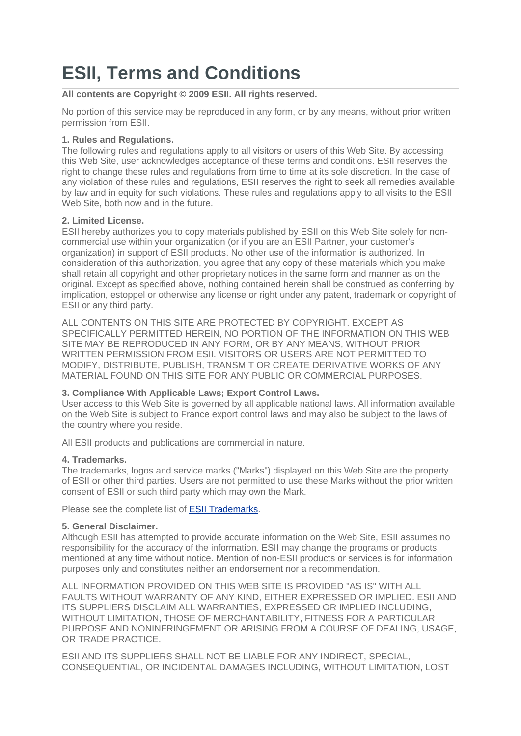# **ESII, Terms and Conditions**

**All contents are Copyright © 2009 ESII. All rights reserved.**

No portion of this service may be reproduced in any form, or by any means, without prior written permission from ESII.

## **1. Rules and Regulations.**

The following rules and regulations apply to all visitors or users of this Web Site. By accessing this Web Site, user acknowledges acceptance of these terms and conditions. ESII reserves the right to change these rules and regulations from time to time at its sole discretion. In the case of any violation of these rules and regulations, ESII reserves the right to seek all remedies available by law and in equity for such violations. These rules and regulations apply to all visits to the ESII Web Site, both now and in the future.

## **2. Limited License.**

ESII hereby authorizes you to copy materials published by ESII on this Web Site solely for noncommercial use within your organization (or if you are an ESII Partner, your customer's organization) in support of ESII products. No other use of the information is authorized. In consideration of this authorization, you agree that any copy of these materials which you make shall retain all copyright and other proprietary notices in the same form and manner as on the original. Except as specified above, nothing contained herein shall be construed as conferring by implication, estoppel or otherwise any license or right under any patent, trademark or copyright of ESII or any third party.

ALL CONTENTS ON THIS SITE ARE PROTECTED BY COPYRIGHT. EXCEPT AS SPECIFICALLY PERMITTED HEREIN, NO PORTION OF THE INFORMATION ON THIS WEB SITE MAY BE REPRODUCED IN ANY FORM, OR BY ANY MEANS, WITHOUT PRIOR WRITTEN PERMISSION FROM ESII. VISITORS OR USERS ARE NOT PERMITTED TO MODIFY, DISTRIBUTE, PUBLISH, TRANSMIT OR CREATE DERIVATIVE WORKS OF ANY MATERIAL FOUND ON THIS SITE FOR ANY PUBLIC OR COMMERCIAL PURPOSES.

#### **3. Compliance With Applicable Laws; Export Control Laws.**

User access to this Web Site is governed by all applicable national laws. All information available on the Web Site is subject to France export control laws and may also be subject to the laws of the country where you reside.

All ESII products and publications are commercial in nature.

# **4. Trademarks.**

The trademarks, logos and service marks ("Marks") displayed on this Web Site are the property of ESII or other third parties. Users are not permitted to use these Marks without the prior written consent of ESII or such third party which may own the Mark.

Please see the complete list of **ESII Trademarks**.

# **5. General Disclaimer.**

Although ESII has attempted to provide accurate information on the Web Site, ESII assumes no responsibility for the accuracy of the information. ESII may change the programs or products mentioned at any time without notice. Mention of non-ESII products or services is for information purposes only and constitutes neither an endorsement nor a recommendation.

ALL INFORMATION PROVIDED ON THIS WEB SITE IS PROVIDED "AS IS" WITH ALL FAULTS WITHOUT WARRANTY OF ANY KIND, EITHER EXPRESSED OR IMPLIED. ESII AND ITS SUPPLIERS DISCLAIM ALL WARRANTIES, EXPRESSED OR IMPLIED INCLUDING, WITHOUT LIMITATION, THOSE OF MERCHANTABILITY, FITNESS FOR A PARTICULAR PURPOSE AND NONINFRINGEMENT OR ARISING FROM A COURSE OF DEALING, USAGE, OR TRADE PRACTICE.

ESII AND ITS SUPPLIERS SHALL NOT BE LIABLE FOR ANY INDIRECT, SPECIAL, CONSEQUENTIAL, OR INCIDENTAL DAMAGES INCLUDING, WITHOUT LIMITATION, LOST